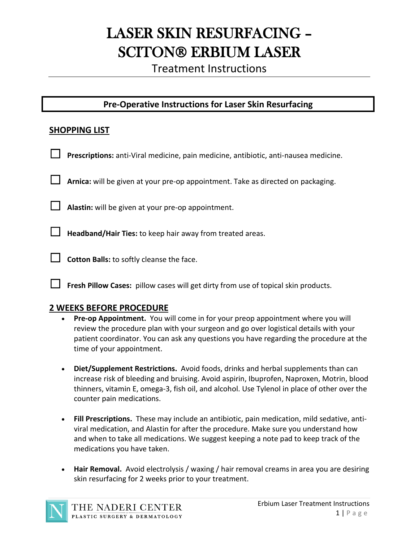# LASER SKIN RESURFACING – **SCITON® ERBIUM LASER**

Treatment Instructions

# **Pre-Operative Instructions for Laser Skin Resurfacing**

### **SHOPPING LIST**

- Prescriptions: anti-Viral medicine, pain medicine, antibiotic, anti-nausea medicine.
- ☐ **Arnica:** will be given at your pre-op appointment. Take as directed on packaging.

☐ **Alastin:** will be given at your pre-op appointment.

☐ **Headband/Hair Ties:** to keep hair away from treated areas.

**□** Cotton Balls: to softly cleanse the face.

☐ **Fresh Pillow Cases:** pillow cases will get dirty from use of topical skin products.

#### **2 WEEKS BEFORE PROCEDURE**

- **Pre-op Appointment.** You will come in for your preop appointment where you will review the procedure plan with your surgeon and go over logistical details with your patient coordinator. You can ask any questions you have regarding the procedure at the time of your appointment.
- **Diet/Supplement Restrictions.** Avoid foods, drinks and herbal supplements than can increase risk of bleeding and bruising. Avoid aspirin, Ibuprofen, Naproxen, Motrin, blood thinners, vitamin E, omega-3, fish oil, and alcohol. Use Tylenol in place of other over the counter pain medications.
- **Fill Prescriptions.** These may include an antibiotic, pain medication, mild sedative, antiviral medication, and Alastin for after the procedure. Make sure you understand how and when to take all medications. We suggest keeping a note pad to keep track of the medications you have taken.
- **Hair Removal.** Avoid electrolysis / waxing / hair removal creams in area you are desiring skin resurfacing for 2 weeks prior to your treatment.

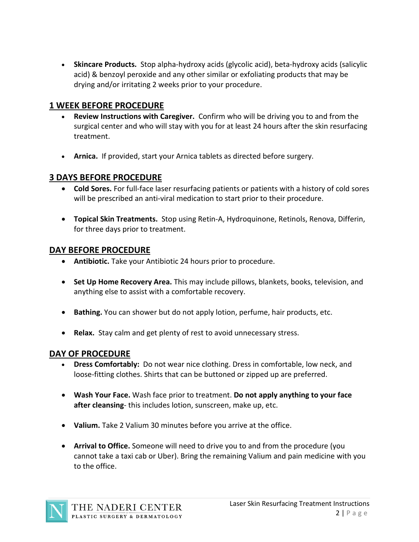• **Skincare Products.** Stop alpha-hydroxy acids (glycolic acid), beta-hydroxy acids (salicylic acid) & benzoyl peroxide and any other similar or exfoliating products that may be drying and/or irritating 2 weeks prior to your procedure.

# **1 WEEK BEFORE PROCEDURE**

- **Review Instructions with Caregiver.** Confirm who will be driving you to and from the surgical center and who will stay with you for at least 24 hours after the skin resurfacing treatment.
- **Arnica.** If provided, start your Arnica tablets as directed before surgery.

# **3 DAYS BEFORE PROCEDURE**

- **Cold Sores.** For full-face laser resurfacing patients or patients with a history of cold sores will be prescribed an anti-viral medication to start prior to their procedure.
- **Topical Skin Treatments.** Stop using Retin-A, Hydroquinone, Retinols, Renova, Differin, for three days prior to treatment.

#### **DAY BEFORE PROCEDURE**

- **Antibiotic.** Take your Antibiotic 24 hours prior to procedure.
- **Set Up Home Recovery Area.** This may include pillows, blankets, books, television, and anything else to assist with a comfortable recovery.
- **Bathing.** You can shower but do not apply lotion, perfume, hair products, etc.
- **Relax.** Stay calm and get plenty of rest to avoid unnecessary stress.

## **DAY OF PROCEDURE**

- **Dress Comfortably:** Do not wear nice clothing. Dress in comfortable, low neck, and loose-fitting clothes. Shirts that can be buttoned or zipped up are preferred.
- **Wash Your Face.** Wash face prior to treatment. **Do not apply anything to your face after cleansing**- this includes lotion, sunscreen, make up, etc.
- **Valium.** Take 2 Valium 30 minutes before you arrive at the office.
- **Arrival to Office.** Someone will need to drive you to and from the procedure (you cannot take a taxi cab or Uber). Bring the remaining Valium and pain medicine with you to the office.

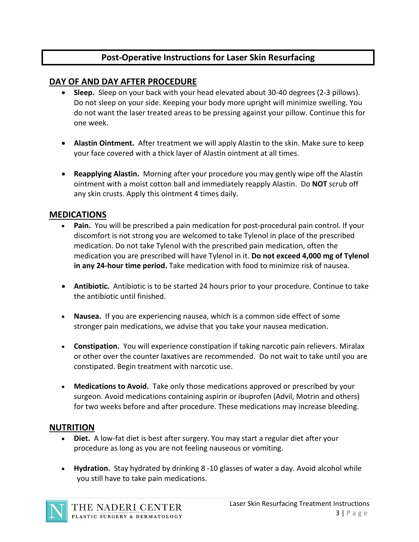# **Post-Operative Instructions for Laser Skin Resurfacing**

# **DAY OF AND DAY AFTER PROCEDURE**

- **Sleep.** Sleep on your back with your head elevated about 30-40 degrees (2-3 pillows). Do not sleep on your side. Keeping your body more upright will minimize swelling. You do not want the laser treated areas to be pressing against your pillow. Continue this for one week.
- **Alastin Ointment.** After treatment we will apply Alastin to the skin. Make sure to keep your face covered with a thick layer of Alastin ointment at all times.
- **Reapplying Alastin.** Morning after your procedure you may gently wipe off the Alastin ointment with a moist cotton ball and immediately reapply Alastin. Do **NOT** scrub off any skin crusts. Apply this ointment 4 times daily.

# **MEDICATIONS**

- Pain. You will be prescribed a pain medication for post-procedural pain control. If your discomfort is not strong you are welcomed to take Tylenol in place of the prescribed medication. Do not take Tylenol with the prescribed pain medication, often the medication you are prescribed will have Tylenol in it. **Do not exceed 4,000 mg of Tylenol in any 24-hour time period.** Take medication with food to minimize risk of nausea.
- **Antibiotic.** Antibiotic is to be started 24 hours prior to your procedure. Continue to take the antibiotic until finished.
- **Nausea.** If you are experiencing nausea, which is a common side effect of some stronger pain medications, we advise that you take your nausea medication.
- **Constipation.** You will experience constipation if taking narcotic pain relievers. Miralax or other over the counter laxatives are recommended. Do not wait to take until you are constipated. Begin treatment with narcotic use.
- **Medications to Avoid.** Take only those medications approved or prescribed by your surgeon. Avoid medications containing aspirin or ibuprofen (Advil, Motrin and others) for two weeks before and after procedure. These medications may increase bleeding.

## **NUTRITION**

- **Diet.** A low-fat diet is best after surgery. You may start a regular diet after your procedure as long as you are not feeling nauseous or vomiting.
- **Hydration.** Stay hydrated by drinking 8 -10 glasses of water a day. Avoid alcohol while you still have to take pain medications.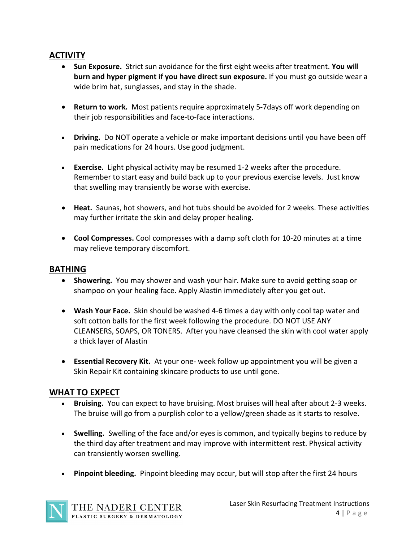# **ACTIVITY**

- **Sun Exposure.** Strict sun avoidance for the first eight weeks after treatment. **You will burn and hyper pigment if you have direct sun exposure.** If you must go outside wear a wide brim hat, sunglasses, and stay in the shade.
- **Return to work.** Most patients require approximately 5-7days off work depending on their job responsibilities and face-to-face interactions.
- **Driving.** Do NOT operate a vehicle or make important decisions until you have been off pain medications for 24 hours. Use good judgment.
- **Exercise.** Light physical activity may be resumed 1-2 weeks after the procedure. Remember to start easy and build back up to your previous exercise levels. Just know that swelling may transiently be worse with exercise.
- **Heat.** Saunas, hot showers, and hot tubs should be avoided for 2 weeks. These activities may further irritate the skin and delay proper healing.
- **Cool Compresses.** Cool compresses with a damp soft cloth for 10-20 minutes at a time may relieve temporary discomfort.

## **BATHING**

- **Showering.** You may shower and wash your hair. Make sure to avoid getting soap or shampoo on your healing face. Apply Alastin immediately after you get out.
- **Wash Your Face.** Skin should be washed 4-6 times a day with only cool tap water and soft cotton balls for the first week following the procedure. DO NOT USE ANY CLEANSERS, SOAPS, OR TONERS. After you have cleansed the skin with cool water apply a thick layer of Alastin
- **Essential Recovery Kit.** At your one- week follow up appointment you will be given a Skin Repair Kit containing skincare products to use until gone.

# **WHAT TO EXPECT**

- **Bruising.** You can expect to have bruising. Most bruises will heal after about 2-3 weeks. The bruise will go from a purplish color to a yellow/green shade as it starts to resolve.
- **Swelling.** Swelling of the face and/or eyes is common, and typically begins to reduce by the third day after treatment and may improve with intermittent rest. Physical activity can transiently worsen swelling.
- **Pinpoint bleeding.** Pinpoint bleeding may occur, but will stop after the first 24 hours